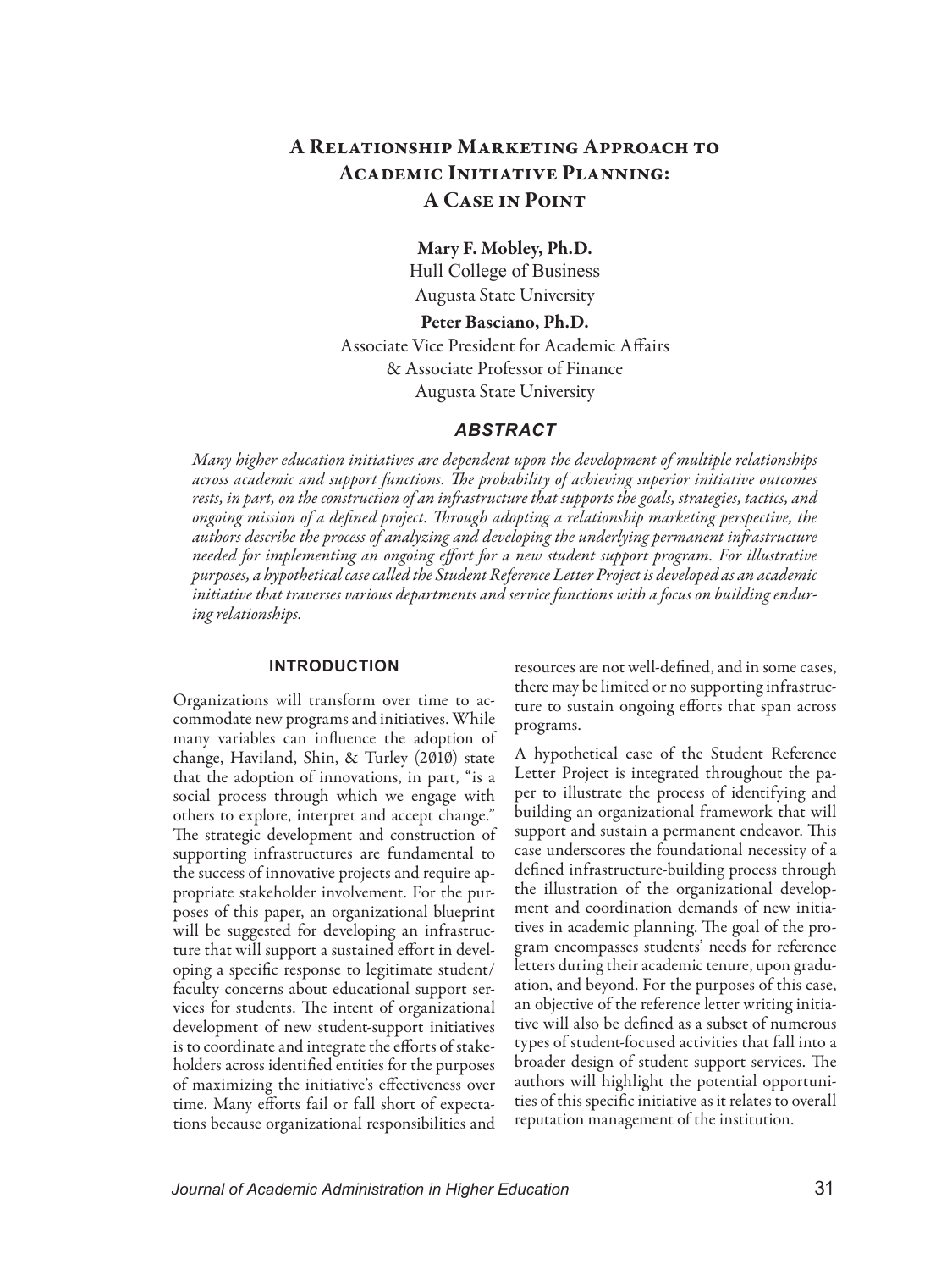# A Relationship Marketing Approach to Academic Initiative Planning: A Case in Point

Mary F. Mobley, Ph.D. Hull College of Business Augusta State University

Peter Basciano, Ph.D. Associate Vice President for Academic Affairs & Associate Professor of Finance Augusta State University

#### *ABSTRACT*

*Many higher education initiatives are dependent upon the development of multiple relationships across academic and support functions. The probability of achieving superior initiative outcomes rests, in part, on the construction of an infrastructure that supports the goals, strategies, tactics, and ongoing mission of a defined project. Through adopting a relationship marketing perspective, the authors describe the process of analyzing and developing the underlying permanent infrastructure needed for implementing an ongoing effort for a new student support program. For illustrative purposes, a hypothetical case called the Student Reference Letter Project is developed as an academic initiative that traverses various departments and service functions with a focus on building enduring relationships.*

#### **INTRODUCTION**

Organizations will transform over time to accommodate new programs and initiatives. While many variables can influence the adoption of change, Haviland, Shin, & Turley (2010) state that the adoption of innovations, in part, "is a social process through which we engage with others to explore, interpret and accept change." The strategic development and construction of supporting infrastructures are fundamental to the success of innovative projects and require appropriate stakeholder involvement. For the purposes of this paper, an organizational blueprint will be suggested for developing an infrastructure that will support a sustained effort in developing a specific response to legitimate student/ faculty concerns about educational support services for students. The intent of organizational development of new student-support initiatives is to coordinate and integrate the efforts of stakeholders across identified entities for the purposes of maximizing the initiative's effectiveness over time. Many efforts fail or fall short of expectations because organizational responsibilities and

resources are not well-defined, and in some cases, there may be limited or no supporting infrastructure to sustain ongoing efforts that span across programs.

A hypothetical case of the Student Reference Letter Project is integrated throughout the paper to illustrate the process of identifying and building an organizational framework that will support and sustain a permanent endeavor. This case underscores the foundational necessity of a defined infrastructure-building process through the illustration of the organizational development and coordination demands of new initiatives in academic planning. The goal of the program encompasses students' needs for reference letters during their academic tenure, upon graduation, and beyond. For the purposes of this case, an objective of the reference letter writing initiative will also be defined as a subset of numerous types of student-focused activities that fall into a broader design of student support services. The authors will highlight the potential opportunities of this specific initiative as it relates to overall reputation management of the institution.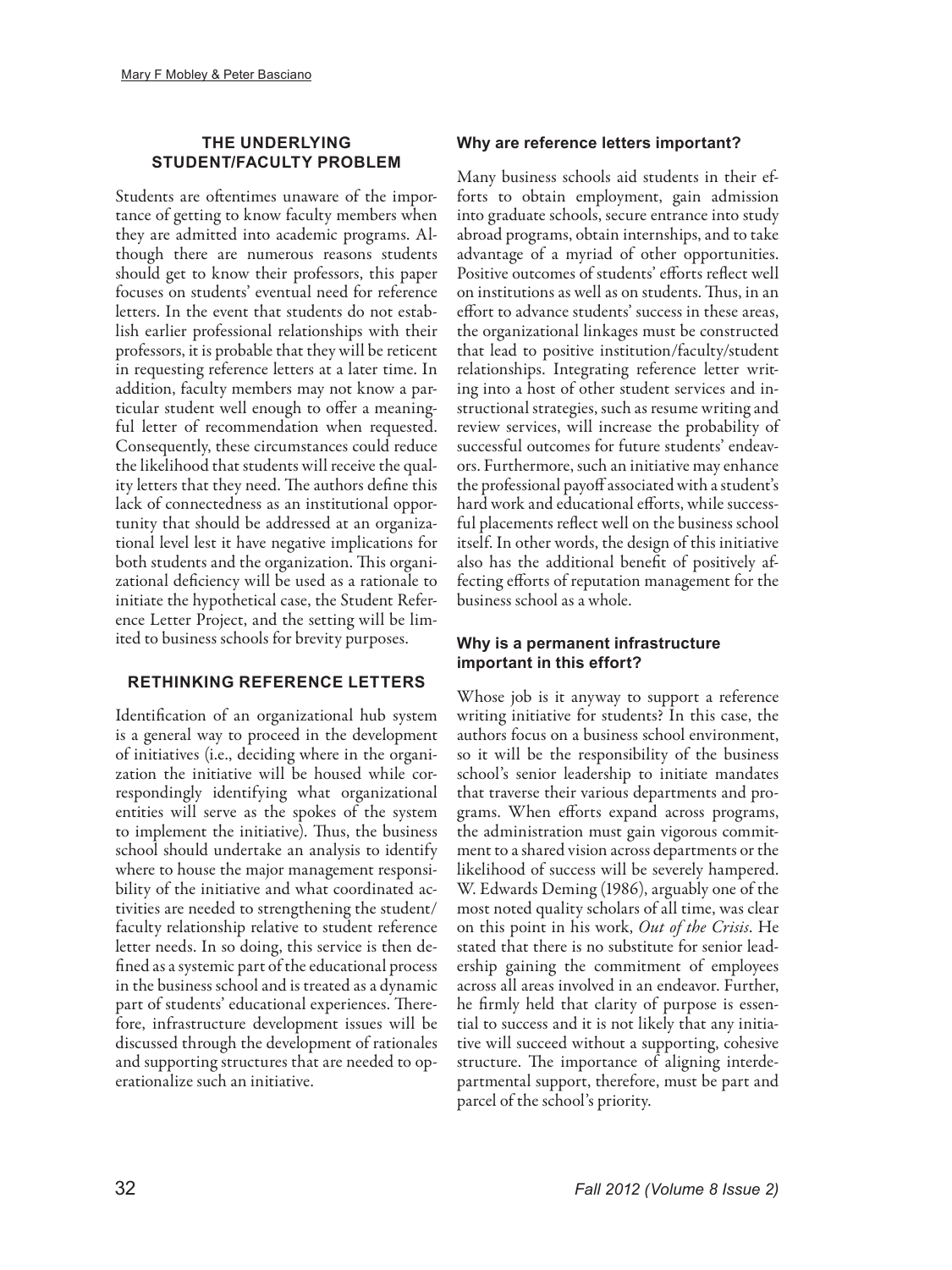# **THE UNDERLYING STUDENT/FACULTY PROBLEM**

Students are oftentimes unaware of the importance of getting to know faculty members when they are admitted into academic programs. Although there are numerous reasons students should get to know their professors, this paper focuses on students' eventual need for reference letters. In the event that students do not establish earlier professional relationships with their professors, it is probable that they will be reticent in requesting reference letters at a later time. In addition, faculty members may not know a particular student well enough to offer a meaningful letter of recommendation when requested. Consequently, these circumstances could reduce the likelihood that students will receive the quality letters that they need. The authors define this lack of connectedness as an institutional opportunity that should be addressed at an organizational level lest it have negative implications for both students and the organization. This organizational deficiency will be used as a rationale to initiate the hypothetical case, the Student Reference Letter Project, and the setting will be limited to business schools for brevity purposes.

# **RETHINKING REFERENCE LETTERS**

Identification of an organizational hub system is a general way to proceed in the development of initiatives (i.e., deciding where in the organization the initiative will be housed while correspondingly identifying what organizational entities will serve as the spokes of the system to implement the initiative). Thus, the business school should undertake an analysis to identify where to house the major management responsibility of the initiative and what coordinated activities are needed to strengthening the student/ faculty relationship relative to student reference letter needs. In so doing, this service is then defined as a systemic part of the educational process in the business school and is treated as a dynamic part of students' educational experiences. Therefore, infrastructure development issues will be discussed through the development of rationales and supporting structures that are needed to operationalize such an initiative.

# **Why are reference letters important?**

Many business schools aid students in their efforts to obtain employment, gain admission into graduate schools, secure entrance into study abroad programs, obtain internships, and to take advantage of a myriad of other opportunities. Positive outcomes of students' efforts reflect well on institutions as well as on students. Thus, in an effort to advance students' success in these areas, the organizational linkages must be constructed that lead to positive institution/faculty/student relationships. Integrating reference letter writing into a host of other student services and instructional strategies, such as resume writing and review services, will increase the probability of successful outcomes for future students' endeavors. Furthermore, such an initiative may enhance the professional payoff associated with a student's hard work and educational efforts, while successful placements reflect well on the business school itself. In other words, the design of this initiative also has the additional benefit of positively affecting efforts of reputation management for the business school as a whole.

# **Why is a permanent infrastructure important in this effort?**

Whose job is it anyway to support a reference writing initiative for students? In this case, the authors focus on a business school environment, so it will be the responsibility of the business school's senior leadership to initiate mandates that traverse their various departments and programs. When efforts expand across programs, the administration must gain vigorous commitment to a shared vision across departments or the likelihood of success will be severely hampered. W. Edwards Deming (1986), arguably one of the most noted quality scholars of all time, was clear on this point in his work, *Out of the Crisis*. He stated that there is no substitute for senior leadership gaining the commitment of employees across all areas involved in an endeavor. Further, he firmly held that clarity of purpose is essential to success and it is not likely that any initiative will succeed without a supporting, cohesive structure. The importance of aligning interdepartmental support, therefore, must be part and parcel of the school's priority.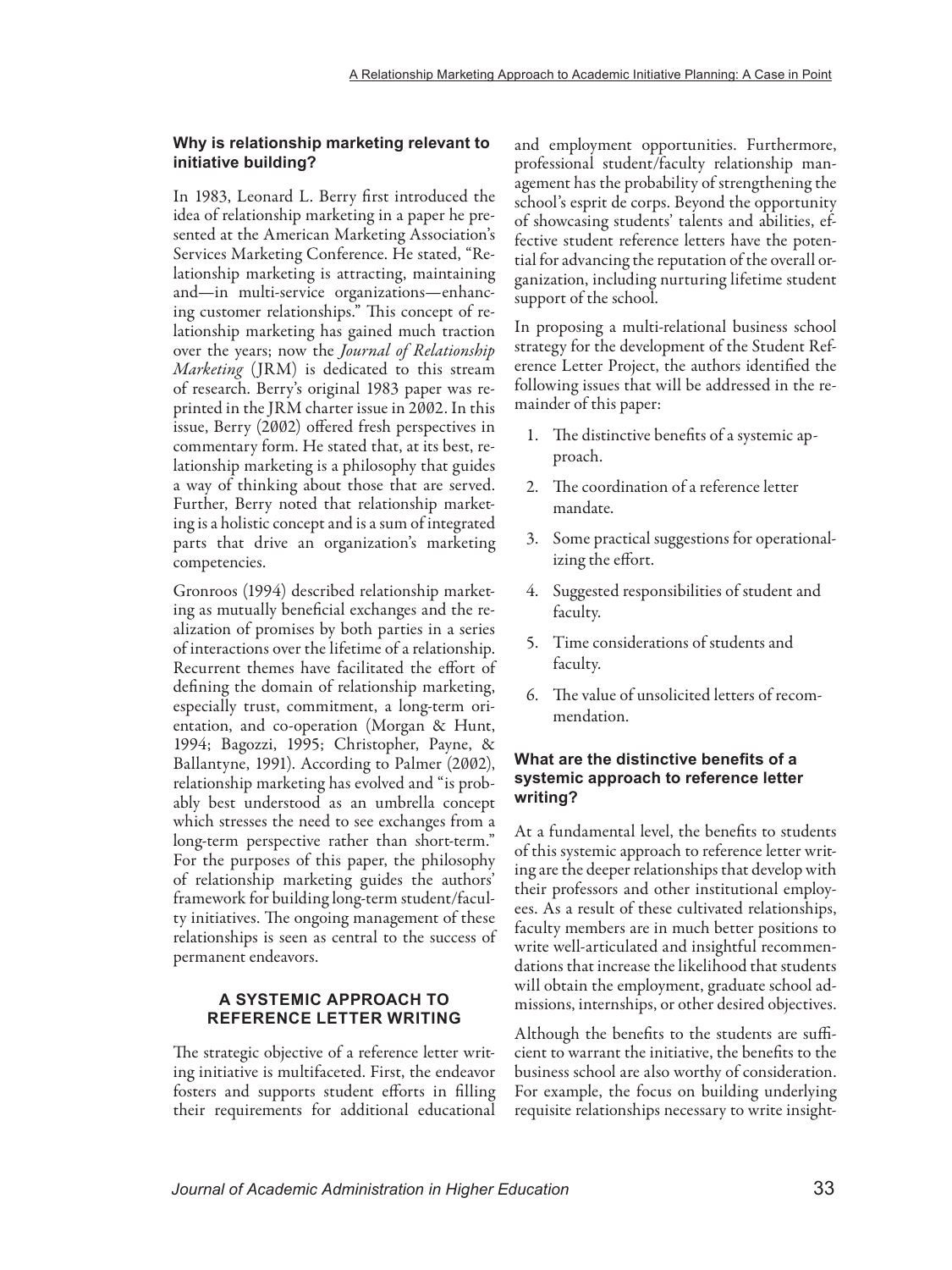### **Why is relationship marketing relevant to initiative building?**

In 1983, Leonard L. Berry first introduced the idea of relationship marketing in a paper he presented at the American Marketing Association's Services Marketing Conference. He stated, "Relationship marketing is attracting, maintaining and—in multi-service organizations—enhancing customer relationships." This concept of relationship marketing has gained much traction over the years; now the *Journal of Relationship Marketing* (JRM) is dedicated to this stream of research. Berry's original 1983 paper was reprinted in the JRM charter issue in 2002. In this issue, Berry (2002) offered fresh perspectives in commentary form. He stated that, at its best, relationship marketing is a philosophy that guides a way of thinking about those that are served. Further, Berry noted that relationship marketing is a holistic concept and is a sum of integrated parts that drive an organization's marketing competencies.

Gronroos (1994) described relationship marketing as mutually beneficial exchanges and the realization of promises by both parties in a series of interactions over the lifetime of a relationship. Recurrent themes have facilitated the effort of defining the domain of relationship marketing, especially trust, commitment, a long-term orientation, and co-operation (Morgan & Hunt, 1994; Bagozzi, 1995; Christopher, Payne, & Ballantyne, 1991). According to Palmer (2002), relationship marketing has evolved and "is probably best understood as an umbrella concept which stresses the need to see exchanges from a long-term perspective rather than short-term." For the purposes of this paper, the philosophy of relationship marketing guides the authors' framework for building long-term student/faculty initiatives. The ongoing management of these relationships is seen as central to the success of permanent endeavors.

### **A SYSTEMIC APPROACH TO REFERENCE LETTER WRITING**

The strategic objective of a reference letter writing initiative is multifaceted. First, the endeavor fosters and supports student efforts in filling their requirements for additional educational

and employment opportunities. Furthermore, professional student/faculty relationship management has the probability of strengthening the school's esprit de corps. Beyond the opportunity of showcasing students' talents and abilities, effective student reference letters have the potential for advancing the reputation of the overall organization, including nurturing lifetime student support of the school.

In proposing a multi-relational business school strategy for the development of the Student Reference Letter Project, the authors identified the following issues that will be addressed in the remainder of this paper:

- 1. The distinctive benefits of a systemic approach.
- 2. The coordination of a reference letter mandate.
- 3. Some practical suggestions for operationalizing the effort.
- 4. Suggested responsibilities of student and faculty.
- 5. Time considerations of students and faculty.
- 6. The value of unsolicited letters of recommendation.

### **What are the distinctive benefits of a systemic approach to reference letter writing?**

At a fundamental level, the benefits to students of this systemic approach to reference letter writing are the deeper relationships that develop with their professors and other institutional employees. As a result of these cultivated relationships, faculty members are in much better positions to write well-articulated and insightful recommendations that increase the likelihood that students will obtain the employment, graduate school admissions, internships, or other desired objectives.

Although the benefits to the students are sufficient to warrant the initiative, the benefits to the business school are also worthy of consideration. For example, the focus on building underlying requisite relationships necessary to write insight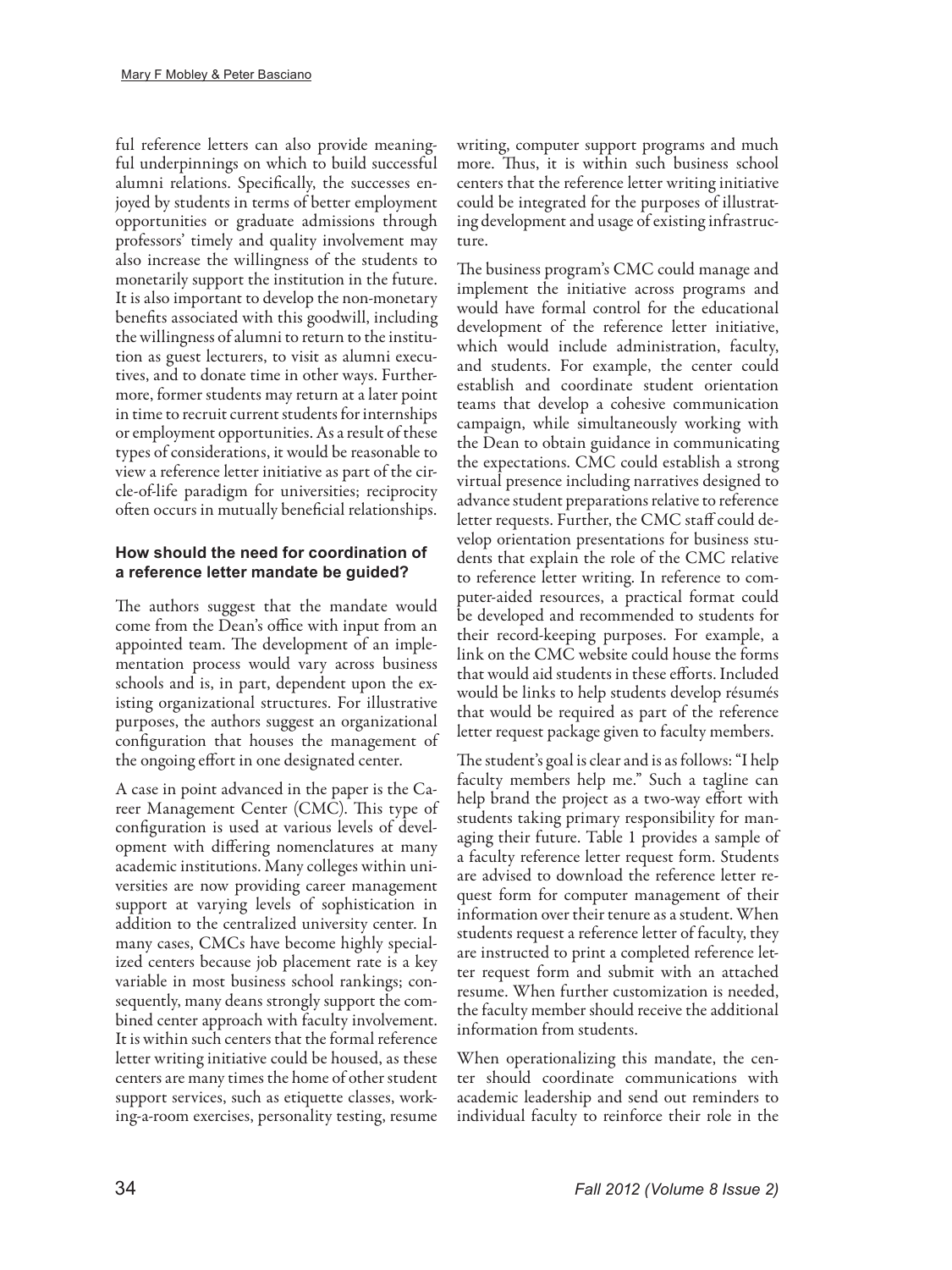ful reference letters can also provide meaningful underpinnings on which to build successful alumni relations. Specifically, the successes enjoyed by students in terms of better employment opportunities or graduate admissions through professors' timely and quality involvement may also increase the willingness of the students to monetarily support the institution in the future. It is also important to develop the non-monetary benefits associated with this goodwill, including the willingness of alumni to return to the institution as guest lecturers, to visit as alumni executives, and to donate time in other ways. Furthermore, former students may return at a later point in time to recruit current students for internships or employment opportunities. As a result of these types of considerations, it would be reasonable to view a reference letter initiative as part of the circle-of-life paradigm for universities; reciprocity often occurs in mutually beneficial relationships.

# **How should the need for coordination of a reference letter mandate be guided?**

The authors suggest that the mandate would come from the Dean's office with input from an appointed team. The development of an implementation process would vary across business schools and is, in part, dependent upon the existing organizational structures. For illustrative purposes, the authors suggest an organizational configuration that houses the management of the ongoing effort in one designated center.

A case in point advanced in the paper is the Career Management Center (CMC). This type of configuration is used at various levels of development with differing nomenclatures at many academic institutions. Many colleges within universities are now providing career management support at varying levels of sophistication in addition to the centralized university center. In many cases, CMCs have become highly specialized centers because job placement rate is a key variable in most business school rankings; consequently, many deans strongly support the combined center approach with faculty involvement. It is within such centers that the formal reference letter writing initiative could be housed, as these centers are many times the home of other student support services, such as etiquette classes, working-a-room exercises, personality testing, resume

writing, computer support programs and much more. Thus, it is within such business school centers that the reference letter writing initiative could be integrated for the purposes of illustrating development and usage of existing infrastructure.

The business program's CMC could manage and implement the initiative across programs and would have formal control for the educational development of the reference letter initiative, which would include administration, faculty, and students. For example, the center could establish and coordinate student orientation teams that develop a cohesive communication campaign, while simultaneously working with the Dean to obtain guidance in communicating the expectations. CMC could establish a strong virtual presence including narratives designed to advance student preparations relative to reference letter requests. Further, the CMC staff could develop orientation presentations for business students that explain the role of the CMC relative to reference letter writing. In reference to computer-aided resources, a practical format could be developed and recommended to students for their record-keeping purposes. For example, a link on the CMC website could house the forms that would aid students in these efforts. Included would be links to help students develop résumés that would be required as part of the reference letter request package given to faculty members.

The student's goal is clear and is as follows: "I help faculty members help me." Such a tagline can help brand the project as a two-way effort with students taking primary responsibility for managing their future. Table 1 provides a sample of a faculty reference letter request form. Students are advised to download the reference letter request form for computer management of their information over their tenure as a student. When students request a reference letter of faculty, they are instructed to print a completed reference letter request form and submit with an attached resume. When further customization is needed, the faculty member should receive the additional information from students.

When operationalizing this mandate, the center should coordinate communications with academic leadership and send out reminders to individual faculty to reinforce their role in the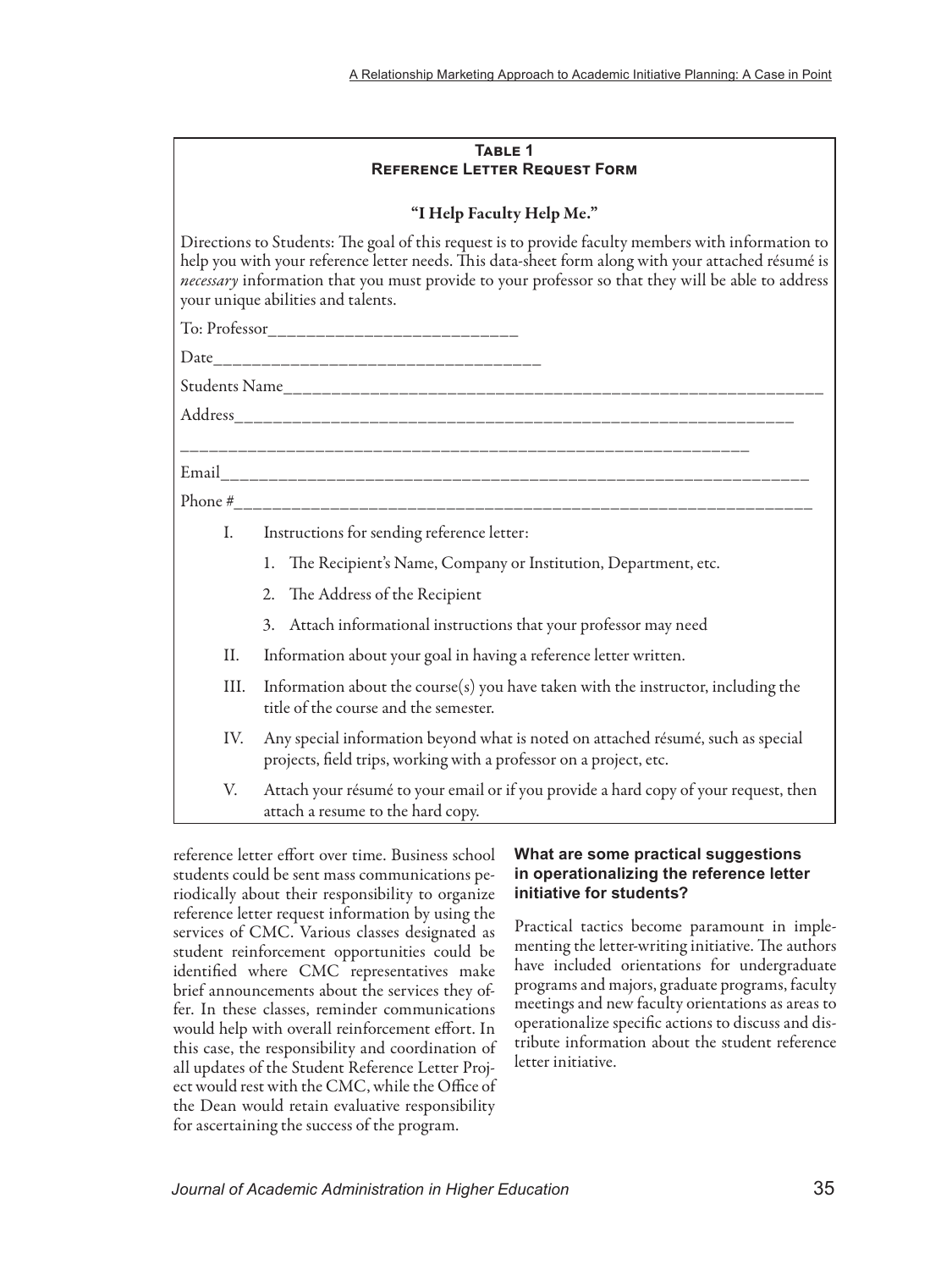| TABLE 1                              |  |
|--------------------------------------|--|
| <b>REFERENCE LETTER REQUEST FORM</b> |  |

#### "I Help Faculty Help Me."

Directions to Students: The goal of this request is to provide faculty members with information to help you with your reference letter needs. This data-sheet form along with your attached résumé is *necessary* information that you must provide to your professor so that they will be able to address your unique abilities and talents.

To: Professor\_\_\_\_\_\_\_\_\_\_\_\_\_\_\_\_\_\_\_\_\_\_\_\_\_\_

Date\_\_\_\_\_\_\_\_\_\_\_\_\_\_\_\_\_\_\_\_\_\_\_\_\_\_\_\_\_\_\_\_\_\_

Students Name\_\_\_\_\_\_\_\_\_\_\_\_\_\_\_\_\_\_\_\_\_\_\_\_\_\_\_\_\_\_\_\_\_\_\_\_\_\_\_\_\_\_\_\_\_\_\_\_\_\_\_\_\_\_\_\_

Address\_\_\_\_\_\_\_\_\_\_\_\_\_\_\_\_\_\_\_\_\_\_\_\_\_\_\_\_\_\_\_\_\_\_\_\_\_\_\_\_\_\_\_\_\_\_\_\_\_\_\_\_\_\_\_\_\_\_

\_\_\_\_\_\_\_\_\_\_\_\_\_\_\_\_\_\_\_\_\_\_\_\_\_\_\_\_\_\_\_\_\_\_\_\_\_\_\_\_\_\_\_\_\_\_\_\_\_\_\_\_\_\_\_\_\_\_\_

Email\_\_\_\_\_\_\_\_\_\_\_\_\_\_\_\_\_\_\_\_\_\_\_\_\_\_\_\_\_\_\_\_\_\_\_\_\_\_\_\_\_\_\_\_\_\_\_\_\_\_\_\_\_\_\_\_\_\_\_\_\_

Phone #\_\_\_\_\_\_\_\_\_\_\_\_\_\_\_\_\_\_\_\_\_\_\_\_\_\_\_\_\_\_\_\_\_\_\_\_\_\_\_\_\_\_\_\_\_\_\_\_\_\_\_\_\_\_\_\_\_\_\_\_

- I. Instructions for sending reference letter:
	- 1. The Recipient's Name, Company or Institution, Department, etc.
	- 2. The Address of the Recipient
	- 3. Attach informational instructions that your professor may need
- II. Information about your goal in having a reference letter written.
- III. Information about the course(s) you have taken with the instructor, including the title of the course and the semester.
- IV. Any special information beyond what is noted on attached résumé, such as special projects, field trips, working with a professor on a project, etc.
- V. Attach your résumé to your email or if you provide a hard copy of your request, then attach a resume to the hard copy.

reference letter effort over time. Business school students could be sent mass communications periodically about their responsibility to organize reference letter request information by using the services of CMC. Various classes designated as student reinforcement opportunities could be identified where CMC representatives make brief announcements about the services they offer. In these classes, reminder communications would help with overall reinforcement effort. In this case, the responsibility and coordination of all updates of the Student Reference Letter Project would rest with the CMC, while the Office of the Dean would retain evaluative responsibility for ascertaining the success of the program.

# **What are some practical suggestions in operationalizing the reference letter initiative for students?**

Practical tactics become paramount in implementing the letter-writing initiative. The authors have included orientations for undergraduate programs and majors, graduate programs, faculty meetings and new faculty orientations as areas to operationalize specific actions to discuss and distribute information about the student reference letter initiative.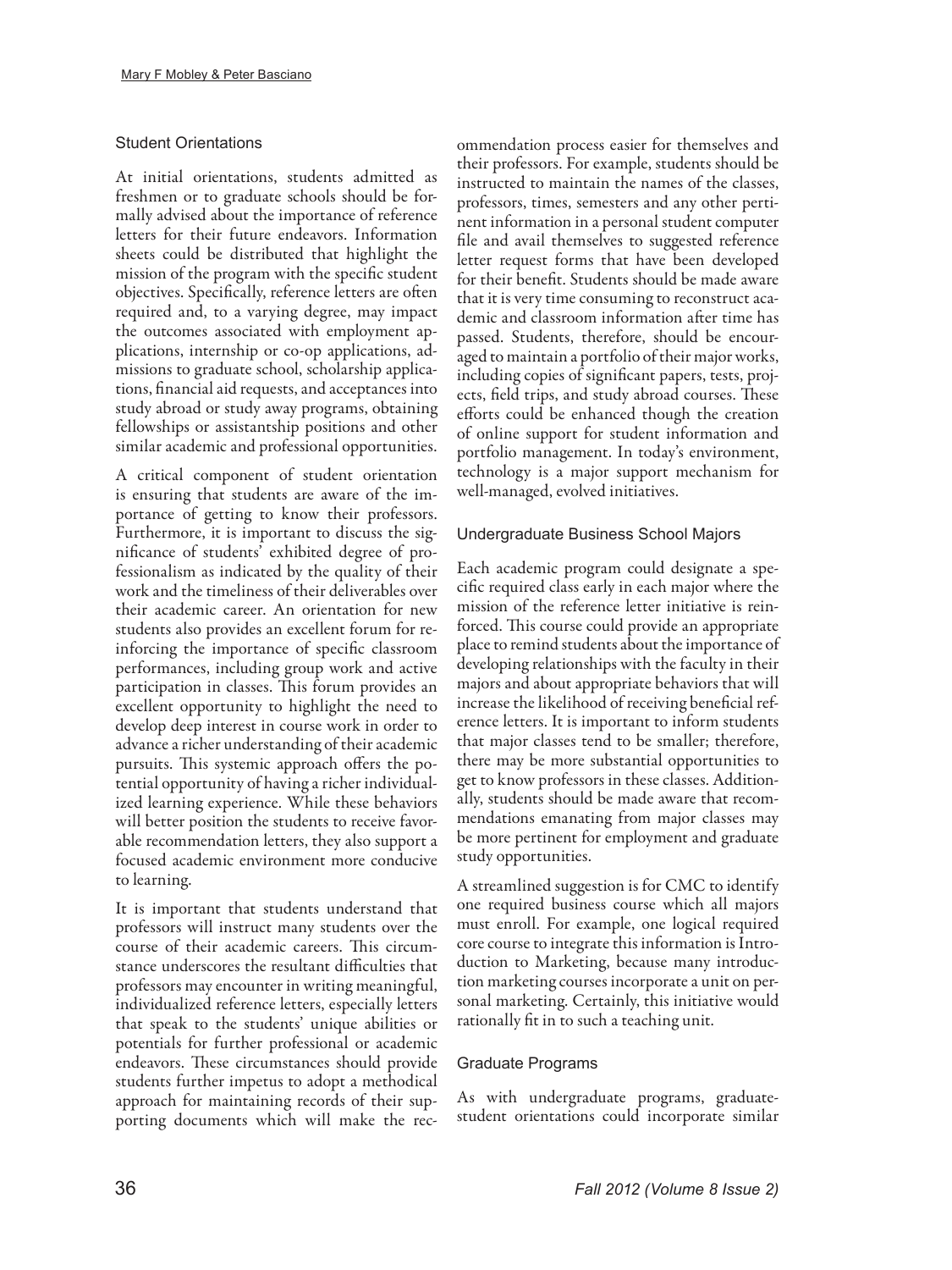# Student Orientations

At initial orientations, students admitted as freshmen or to graduate schools should be formally advised about the importance of reference letters for their future endeavors. Information sheets could be distributed that highlight the mission of the program with the specific student objectives. Specifically, reference letters are often required and, to a varying degree, may impact the outcomes associated with employment applications, internship or co-op applications, admissions to graduate school, scholarship applications, financial aid requests, and acceptances into study abroad or study away programs, obtaining fellowships or assistantship positions and other similar academic and professional opportunities.

A critical component of student orientation is ensuring that students are aware of the importance of getting to know their professors. Furthermore, it is important to discuss the significance of students' exhibited degree of professionalism as indicated by the quality of their work and the timeliness of their deliverables over their academic career. An orientation for new students also provides an excellent forum for reinforcing the importance of specific classroom performances, including group work and active participation in classes. This forum provides an excellent opportunity to highlight the need to develop deep interest in course work in order to advance a richer understanding of their academic pursuits. This systemic approach offers the potential opportunity of having a richer individualized learning experience. While these behaviors will better position the students to receive favorable recommendation letters, they also support a focused academic environment more conducive to learning.

It is important that students understand that professors will instruct many students over the course of their academic careers. This circumstance underscores the resultant difficulties that professors may encounter in writing meaningful, individualized reference letters, especially letters that speak to the students' unique abilities or potentials for further professional or academic endeavors. These circumstances should provide students further impetus to adopt a methodical approach for maintaining records of their supporting documents which will make the recommendation process easier for themselves and their professors. For example, students should be instructed to maintain the names of the classes, professors, times, semesters and any other pertinent information in a personal student computer file and avail themselves to suggested reference letter request forms that have been developed for their benefit. Students should be made aware that it is very time consuming to reconstruct academic and classroom information after time has passed. Students, therefore, should be encouraged to maintain a portfolio of their major works, including copies of significant papers, tests, projects, field trips, and study abroad courses. These efforts could be enhanced though the creation of online support for student information and portfolio management. In today's environment, technology is a major support mechanism for well-managed, evolved initiatives.

# Undergraduate Business School Majors

Each academic program could designate a specific required class early in each major where the mission of the reference letter initiative is reinforced. This course could provide an appropriate place to remind students about the importance of developing relationships with the faculty in their majors and about appropriate behaviors that will increase the likelihood of receiving beneficial reference letters. It is important to inform students that major classes tend to be smaller; therefore, there may be more substantial opportunities to get to know professors in these classes. Additionally, students should be made aware that recommendations emanating from major classes may be more pertinent for employment and graduate study opportunities.

A streamlined suggestion is for CMC to identify one required business course which all majors must enroll. For example, one logical required core course to integrate this information is Introduction to Marketing, because many introduction marketing courses incorporate a unit on personal marketing. Certainly, this initiative would rationally fit in to such a teaching unit.

# Graduate Programs

As with undergraduate programs, graduatestudent orientations could incorporate similar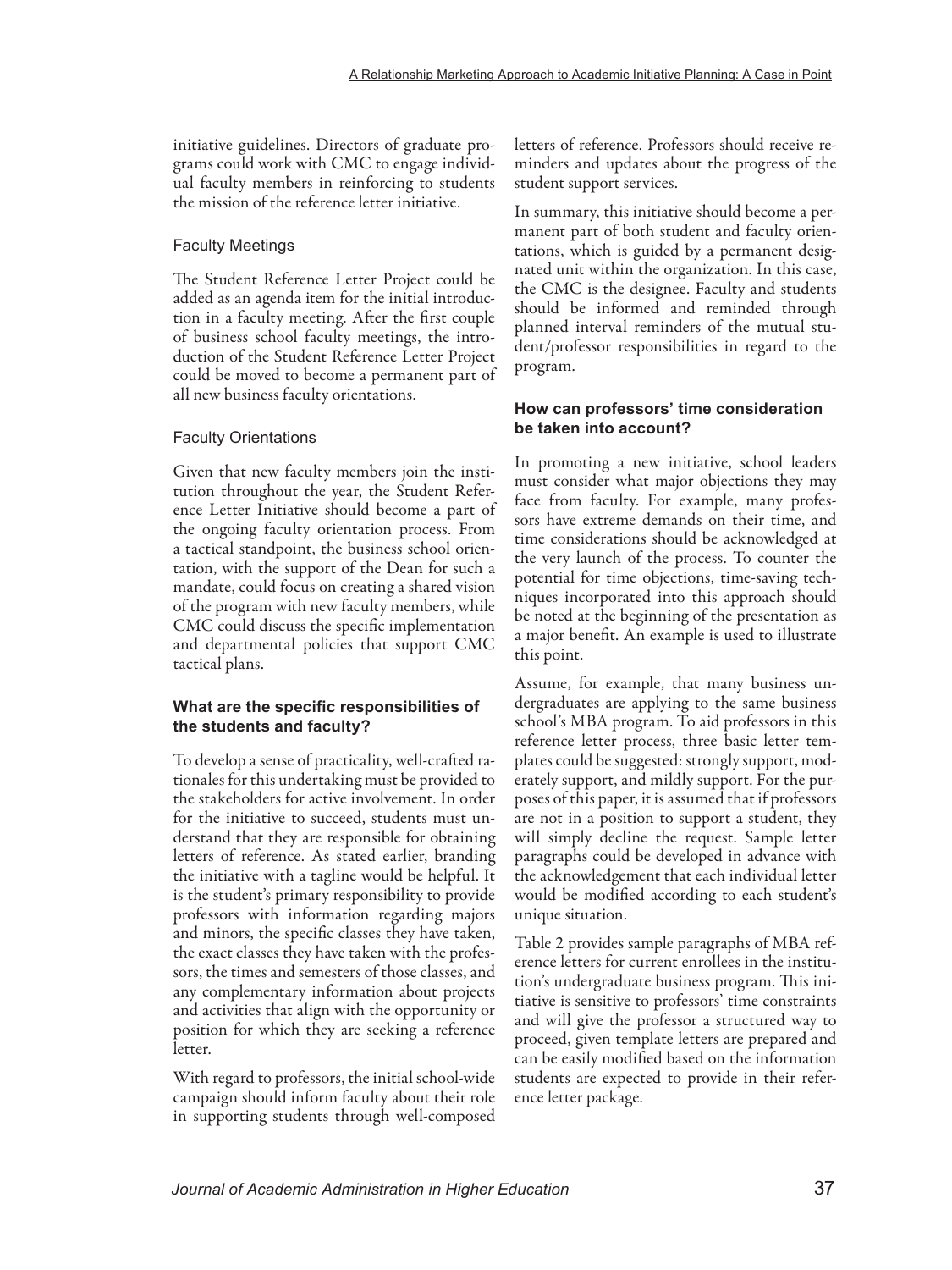initiative guidelines. Directors of graduate programs could work with CMC to engage individual faculty members in reinforcing to students the mission of the reference letter initiative.

### Faculty Meetings

The Student Reference Letter Project could be added as an agenda item for the initial introduction in a faculty meeting. After the first couple of business school faculty meetings, the introduction of the Student Reference Letter Project could be moved to become a permanent part of all new business faculty orientations.

# Faculty Orientations

Given that new faculty members join the institution throughout the year, the Student Reference Letter Initiative should become a part of the ongoing faculty orientation process. From a tactical standpoint, the business school orientation, with the support of the Dean for such a mandate, could focus on creating a shared vision of the program with new faculty members, while CMC could discuss the specific implementation and departmental policies that support CMC tactical plans.

# **What are the specific responsibilities of the students and faculty?**

To develop a sense of practicality, well-crafted rationales for this undertaking must be provided to the stakeholders for active involvement. In order for the initiative to succeed, students must understand that they are responsible for obtaining letters of reference. As stated earlier, branding the initiative with a tagline would be helpful. It is the student's primary responsibility to provide professors with information regarding majors and minors, the specific classes they have taken, the exact classes they have taken with the professors, the times and semesters of those classes, and any complementary information about projects and activities that align with the opportunity or position for which they are seeking a reference letter.

With regard to professors, the initial school-wide campaign should inform faculty about their role in supporting students through well-composed letters of reference. Professors should receive reminders and updates about the progress of the student support services.

In summary, this initiative should become a permanent part of both student and faculty orientations, which is guided by a permanent designated unit within the organization. In this case, the CMC is the designee. Faculty and students should be informed and reminded through planned interval reminders of the mutual student/professor responsibilities in regard to the program.

# **How can professors' time consideration be taken into account?**

In promoting a new initiative, school leaders must consider what major objections they may face from faculty. For example, many professors have extreme demands on their time, and time considerations should be acknowledged at the very launch of the process. To counter the potential for time objections, time-saving techniques incorporated into this approach should be noted at the beginning of the presentation as a major benefit. An example is used to illustrate this point.

Assume, for example, that many business undergraduates are applying to the same business school's MBA program. To aid professors in this reference letter process, three basic letter templates could be suggested: strongly support, moderately support, and mildly support. For the purposes of this paper, it is assumed that if professors are not in a position to support a student, they will simply decline the request. Sample letter paragraphs could be developed in advance with the acknowledgement that each individual letter would be modified according to each student's unique situation.

Table 2 provides sample paragraphs of MBA reference letters for current enrollees in the institution's undergraduate business program. This initiative is sensitive to professors' time constraints and will give the professor a structured way to proceed, given template letters are prepared and can be easily modified based on the information students are expected to provide in their reference letter package.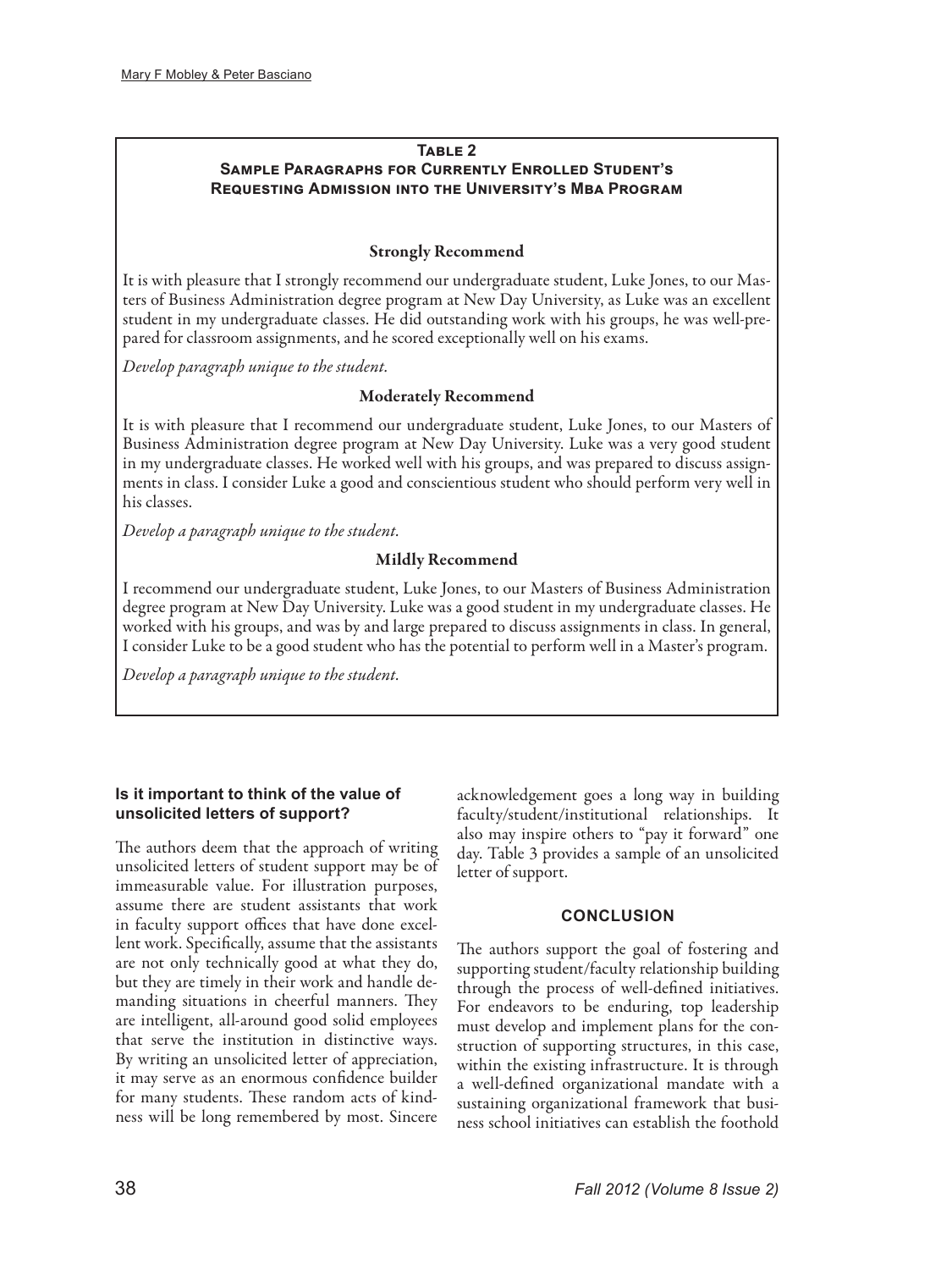# **Table 2**

# **Sample Paragraphs for Currently Enrolled Student's Requesting Admission into the University's Mba Program**

# Strongly Recommend

It is with pleasure that I strongly recommend our undergraduate student, Luke Jones, to our Masters of Business Administration degree program at New Day University, as Luke was an excellent student in my undergraduate classes. He did outstanding work with his groups, he was well-prepared for classroom assignments, and he scored exceptionally well on his exams.

*Develop paragraph unique to the student.*

# Moderately Recommend

It is with pleasure that I recommend our undergraduate student, Luke Jones, to our Masters of Business Administration degree program at New Day University. Luke was a very good student in my undergraduate classes. He worked well with his groups, and was prepared to discuss assignments in class. I consider Luke a good and conscientious student who should perform very well in his classes.

*Develop a paragraph unique to the student.*

# Mildly Recommend

I recommend our undergraduate student, Luke Jones, to our Masters of Business Administration degree program at New Day University. Luke was a good student in my undergraduate classes. He worked with his groups, and was by and large prepared to discuss assignments in class. In general, I consider Luke to be a good student who has the potential to perform well in a Master's program.

*Develop a paragraph unique to the student.*

# **Is it important to think of the value of unsolicited letters of support?**

The authors deem that the approach of writing unsolicited letters of student support may be of immeasurable value. For illustration purposes, assume there are student assistants that work in faculty support offices that have done excellent work. Specifically, assume that the assistants are not only technically good at what they do, but they are timely in their work and handle demanding situations in cheerful manners. They are intelligent, all-around good solid employees that serve the institution in distinctive ways. By writing an unsolicited letter of appreciation, it may serve as an enormous confidence builder for many students. These random acts of kindness will be long remembered by most. Sincere

acknowledgement goes a long way in building faculty/student/institutional relationships. It also may inspire others to "pay it forward" one day. Table 3 provides a sample of an unsolicited letter of support.

### **CONCLUSION**

The authors support the goal of fostering and supporting student/faculty relationship building through the process of well-defined initiatives. For endeavors to be enduring, top leadership must develop and implement plans for the construction of supporting structures, in this case, within the existing infrastructure. It is through a well-defined organizational mandate with a sustaining organizational framework that business school initiatives can establish the foothold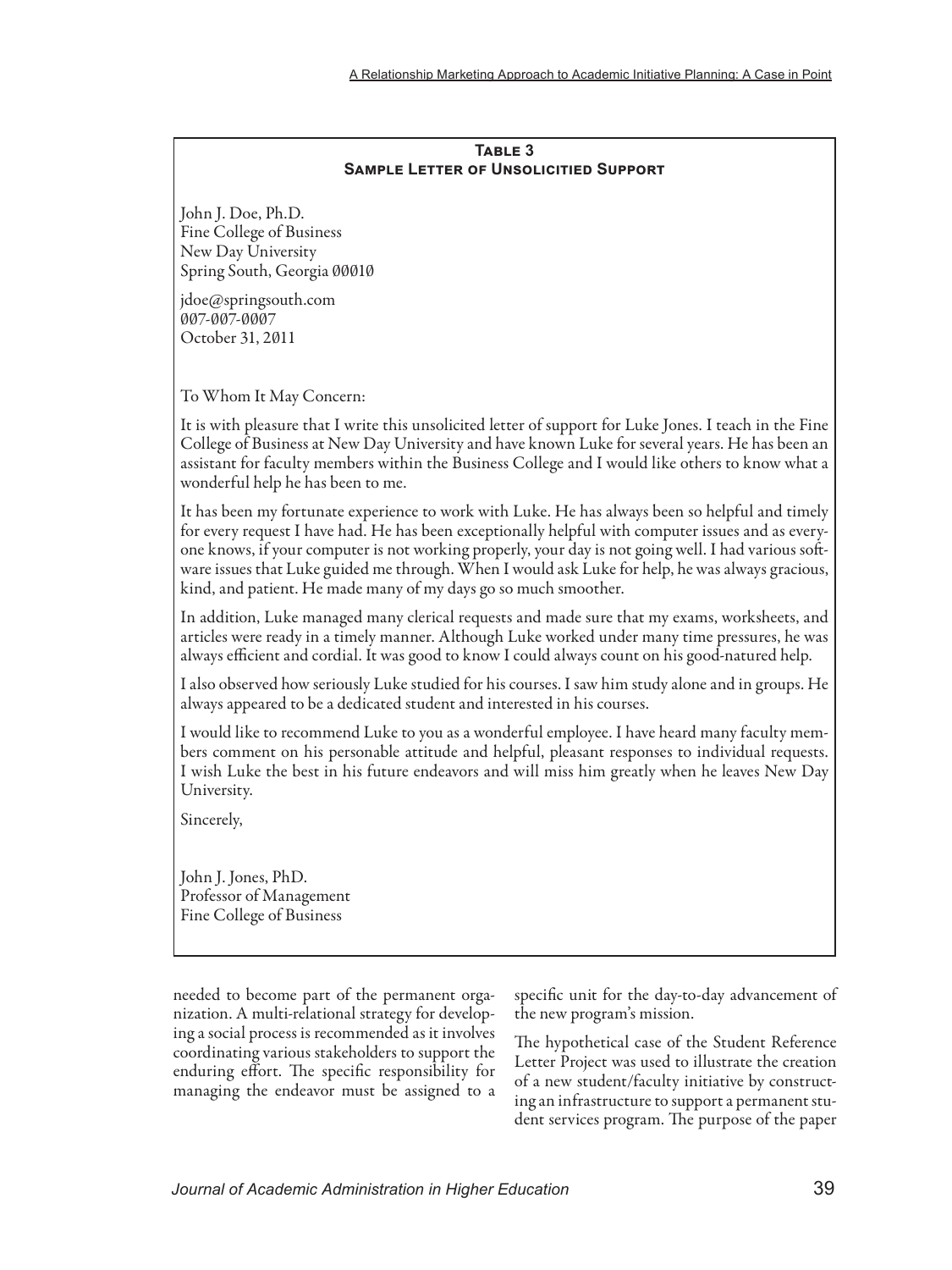### **Table 3 Sample Letter of Unsolicitied Support**

John J. Doe, Ph.D. Fine College of Business New Day University Spring South, Georgia 00010

jdoe@springsouth.com 007-007-0007 October 31, 2011

To Whom It May Concern:

It is with pleasure that I write this unsolicited letter of support for Luke Jones. I teach in the Fine College of Business at New Day University and have known Luke for several years. He has been an assistant for faculty members within the Business College and I would like others to know what a wonderful help he has been to me.

It has been my fortunate experience to work with Luke. He has always been so helpful and timely for every request I have had. He has been exceptionally helpful with computer issues and as everyone knows, if your computer is not working properly, your day is not going well. I had various software issues that Luke guided me through. When I would ask Luke for help, he was always gracious, kind, and patient. He made many of my days go so much smoother.

In addition, Luke managed many clerical requests and made sure that my exams, worksheets, and articles were ready in a timely manner. Although Luke worked under many time pressures, he was always efficient and cordial. It was good to know I could always count on his good-natured help.

I also observed how seriously Luke studied for his courses. I saw him study alone and in groups. He always appeared to be a dedicated student and interested in his courses.

I would like to recommend Luke to you as a wonderful employee. I have heard many faculty members comment on his personable attitude and helpful, pleasant responses to individual requests. I wish Luke the best in his future endeavors and will miss him greatly when he leaves New Day University.

Sincerely,

John J. Jones, PhD. Professor of Management Fine College of Business

needed to become part of the permanent organization. A multi-relational strategy for developing a social process is recommended as it involves coordinating various stakeholders to support the enduring effort. The specific responsibility for managing the endeavor must be assigned to a specific unit for the day-to-day advancement of the new program's mission.

The hypothetical case of the Student Reference Letter Project was used to illustrate the creation of a new student/faculty initiative by constructing an infrastructure to support a permanent student services program. The purpose of the paper